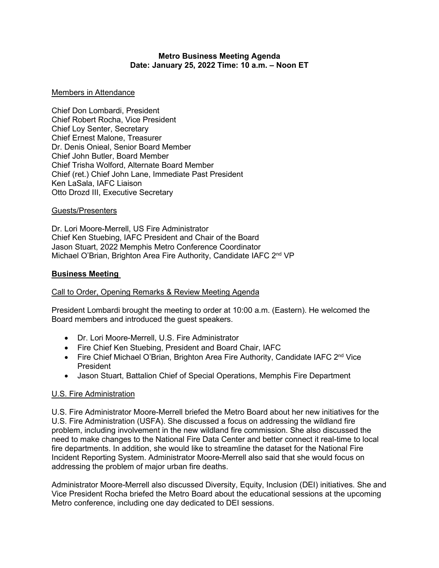## **Metro Business Meeting Agenda Date: January 25, 2022 Time: 10 a.m. – Noon ET**

## Members in Attendance

Chief Don Lombardi, President Chief Robert Rocha, Vice President Chief Loy Senter, Secretary Chief Ernest Malone, Treasurer Dr. Denis Onieal, Senior Board Member Chief John Butler, Board Member Chief Trisha Wolford, Alternate Board Member Chief (ret.) Chief John Lane, Immediate Past President Ken LaSala, IAFC Liaison Otto Drozd III, Executive Secretary

### Guests/Presenters

Dr. Lori Moore-Merrell, US Fire Administrator Chief Ken Stuebing, IAFC President and Chair of the Board Jason Stuart, 2022 Memphis Metro Conference Coordinator Michael O'Brian, Brighton Area Fire Authority, Candidate IAFC 2<sup>nd</sup> VP

## **Business Meeting**

### Call to Order, Opening Remarks & Review Meeting Agenda

President Lombardi brought the meeting to order at 10:00 a.m. (Eastern). He welcomed the Board members and introduced the guest speakers.

- Dr. Lori Moore-Merrell, U.S. Fire Administrator
- Fire Chief Ken Stuebing, President and Board Chair, IAFC
- Fire Chief Michael O'Brian, Brighton Area Fire Authority, Candidate IAFC  $2<sup>nd</sup>$  Vice President
- Jason Stuart, Battalion Chief of Special Operations, Memphis Fire Department

# U.S. Fire Administration

U.S. Fire Administrator Moore-Merrell briefed the Metro Board about her new initiatives for the U.S. Fire Administration (USFA). She discussed a focus on addressing the wildland fire problem, including involvement in the new wildland fire commission. She also discussed the need to make changes to the National Fire Data Center and better connect it real-time to local fire departments. In addition, she would like to streamline the dataset for the National Fire Incident Reporting System. Administrator Moore-Merrell also said that she would focus on addressing the problem of major urban fire deaths.

Administrator Moore-Merrell also discussed Diversity, Equity, Inclusion (DEI) initiatives. She and Vice President Rocha briefed the Metro Board about the educational sessions at the upcoming Metro conference, including one day dedicated to DEI sessions.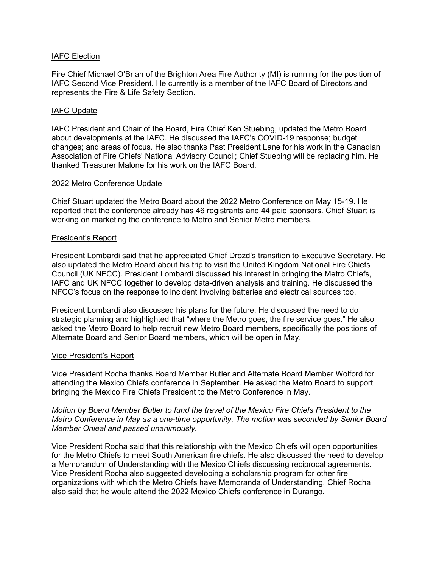## IAFC Election

Fire Chief Michael O'Brian of the Brighton Area Fire Authority (MI) is running for the position of IAFC Second Vice President. He currently is a member of the IAFC Board of Directors and represents the Fire & Life Safety Section.

## IAFC Update

IAFC President and Chair of the Board, Fire Chief Ken Stuebing, updated the Metro Board about developments at the IAFC. He discussed the IAFC's COVID-19 response; budget changes; and areas of focus. He also thanks Past President Lane for his work in the Canadian Association of Fire Chiefs' National Advisory Council; Chief Stuebing will be replacing him. He thanked Treasurer Malone for his work on the IAFC Board.

### 2022 Metro Conference Update

Chief Stuart updated the Metro Board about the 2022 Metro Conference on May 15-19. He reported that the conference already has 46 registrants and 44 paid sponsors. Chief Stuart is working on marketing the conference to Metro and Senior Metro members.

#### President's Report

President Lombardi said that he appreciated Chief Drozd's transition to Executive Secretary. He also updated the Metro Board about his trip to visit the United Kingdom National Fire Chiefs Council (UK NFCC). President Lombardi discussed his interest in bringing the Metro Chiefs, IAFC and UK NFCC together to develop data-driven analysis and training. He discussed the NFCC's focus on the response to incident involving batteries and electrical sources too.

President Lombardi also discussed his plans for the future. He discussed the need to do strategic planning and highlighted that "where the Metro goes, the fire service goes." He also asked the Metro Board to help recruit new Metro Board members, specifically the positions of Alternate Board and Senior Board members, which will be open in May.

### Vice President's Report

Vice President Rocha thanks Board Member Butler and Alternate Board Member Wolford for attending the Mexico Chiefs conference in September. He asked the Metro Board to support bringing the Mexico Fire Chiefs President to the Metro Conference in May.

*Motion by Board Member Butler to fund the travel of the Mexico Fire Chiefs President to the Metro Conference in May as a one-time opportunity. The motion was seconded by Senior Board Member Onieal and passed unanimously.*

Vice President Rocha said that this relationship with the Mexico Chiefs will open opportunities for the Metro Chiefs to meet South American fire chiefs. He also discussed the need to develop a Memorandum of Understanding with the Mexico Chiefs discussing reciprocal agreements. Vice President Rocha also suggested developing a scholarship program for other fire organizations with which the Metro Chiefs have Memoranda of Understanding. Chief Rocha also said that he would attend the 2022 Mexico Chiefs conference in Durango.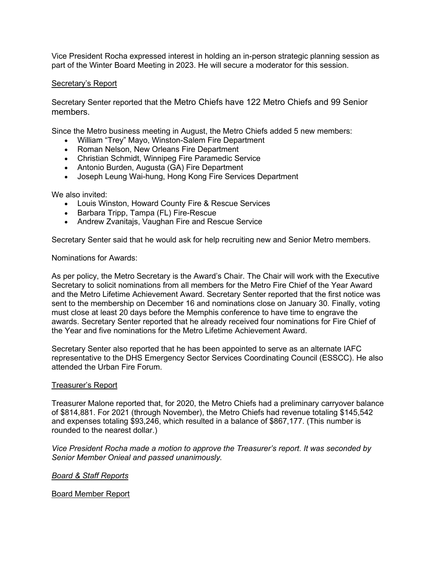Vice President Rocha expressed interest in holding an in-person strategic planning session as part of the Winter Board Meeting in 2023. He will secure a moderator for this session.

### Secretary's Report

Secretary Senter reported that the Metro Chiefs have 122 Metro Chiefs and 99 Senior members.

Since the Metro business meeting in August, the Metro Chiefs added 5 new members:

- William "Trey" Mayo, Winston-Salem Fire Department
- Roman Nelson, New Orleans Fire Department
- Christian Schmidt, Winnipeg Fire Paramedic Service
- Antonio Burden, Augusta (GA) Fire Department
- Joseph Leung Wai-hung, Hong Kong Fire Services Department

We also invited:

- Louis Winston, Howard County Fire & Rescue Services
- Barbara Tripp, Tampa (FL) Fire-Rescue
- Andrew Zvanitajs, Vaughan Fire and Rescue Service

Secretary Senter said that he would ask for help recruiting new and Senior Metro members.

Nominations for Awards:

As per policy, the Metro Secretary is the Award's Chair. The Chair will work with the Executive Secretary to solicit nominations from all members for the Metro Fire Chief of the Year Award and the Metro Lifetime Achievement Award. Secretary Senter reported that the first notice was sent to the membership on December 16 and nominations close on January 30. Finally, voting must close at least 20 days before the Memphis conference to have time to engrave the awards. Secretary Senter reported that he already received four nominations for Fire Chief of the Year and five nominations for the Metro Lifetime Achievement Award.

Secretary Senter also reported that he has been appointed to serve as an alternate IAFC representative to the DHS Emergency Sector Services Coordinating Council (ESSCC). He also attended the Urban Fire Forum.

### Treasurer's Report

Treasurer Malone reported that, for 2020, the Metro Chiefs had a preliminary carryover balance of \$814,881. For 2021 (through November), the Metro Chiefs had revenue totaling \$145,542 and expenses totaling \$93,246, which resulted in a balance of \$867,177. (This number is rounded to the nearest dollar.)

*Vice President Rocha made a motion to approve the Treasurer's report. It was seconded by Senior Member Onieal and passed unanimously.*

*Board & Staff Reports*

Board Member Report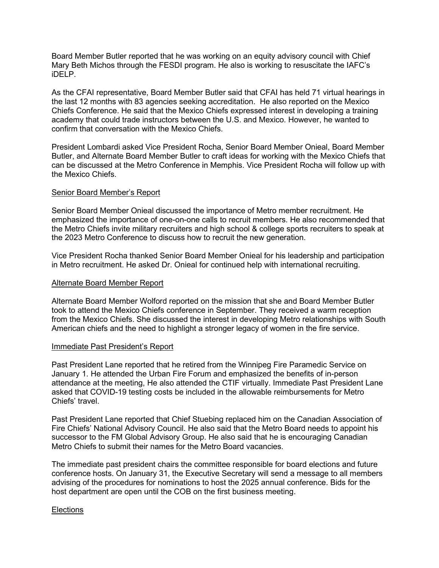Board Member Butler reported that he was working on an equity advisory council with Chief Mary Beth Michos through the FESDI program. He also is working to resuscitate the IAFC's iDELP.

As the CFAI representative, Board Member Butler said that CFAI has held 71 virtual hearings in the last 12 months with 83 agencies seeking accreditation. He also reported on the Mexico Chiefs Conference. He said that the Mexico Chiefs expressed interest in developing a training academy that could trade instructors between the U.S. and Mexico. However, he wanted to confirm that conversation with the Mexico Chiefs.

President Lombardi asked Vice President Rocha, Senior Board Member Onieal, Board Member Butler, and Alternate Board Member Butler to craft ideas for working with the Mexico Chiefs that can be discussed at the Metro Conference in Memphis. Vice President Rocha will follow up with the Mexico Chiefs.

## Senior Board Member's Report

Senior Board Member Onieal discussed the importance of Metro member recruitment. He emphasized the importance of one-on-one calls to recruit members. He also recommended that the Metro Chiefs invite military recruiters and high school & college sports recruiters to speak at the 2023 Metro Conference to discuss how to recruit the new generation.

Vice President Rocha thanked Senior Board Member Onieal for his leadership and participation in Metro recruitment. He asked Dr. Onieal for continued help with international recruiting.

## Alternate Board Member Report

Alternate Board Member Wolford reported on the mission that she and Board Member Butler took to attend the Mexico Chiefs conference in September. They received a warm reception from the Mexico Chiefs. She discussed the interest in developing Metro relationships with South American chiefs and the need to highlight a stronger legacy of women in the fire service.

### Immediate Past President's Report

Past President Lane reported that he retired from the Winnipeg Fire Paramedic Service on January 1. He attended the Urban Fire Forum and emphasized the benefits of in-person attendance at the meeting, He also attended the CTIF virtually. Immediate Past President Lane asked that COVID-19 testing costs be included in the allowable reimbursements for Metro Chiefs' travel.

Past President Lane reported that Chief Stuebing replaced him on the Canadian Association of Fire Chiefs' National Advisory Council. He also said that the Metro Board needs to appoint his successor to the FM Global Advisory Group. He also said that he is encouraging Canadian Metro Chiefs to submit their names for the Metro Board vacancies.

The immediate past president chairs the committee responsible for board elections and future conference hosts. On January 31, the Executive Secretary will send a message to all members advising of the procedures for nominations to host the 2025 annual conference. Bids for the host department are open until the COB on the first business meeting.

### **Elections**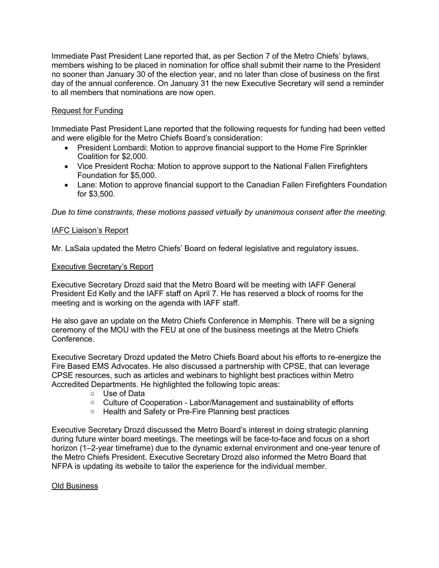Immediate Past President Lane reported that, as per Section 7 of the Metro Chiefs' bylaws, members wishing to be placed in nomination for office shall submit their name to the President no sooner than January 30 of the election year, and no later than close of business on the first day of the annual conference. On January 31 the new Executive Secretary will send a reminder to all members that nominations are now open.

# Request for Funding

Immediate Past President Lane reported that the following requests for funding had been vetted and were eligible for the Metro Chiefs Board's consideration:

- President Lombardi: Motion to approve financial support to the Home Fire Sprinkler Coalition for \$2,000.
- Vice President Rocha: Motion to approve support to the National Fallen Firefighters Foundation for \$5,000.
- Lane: Motion to approve financial support to the Canadian Fallen Firefighters Foundation for \$3,500.

*Due to time constraints, these motions passed virtually by unanimous consent after the meeting.*

# IAFC Liaison's Report

Mr. LaSala updated the Metro Chiefs' Board on federal legislative and regulatory issues.

### Executive Secretary's Report

Executive Secretary Drozd said that the Metro Board will be meeting with IAFF General President Ed Kelly and the IAFF staff on April 7. He has reserved a block of rooms for the meeting and is working on the agenda with IAFF staff.

He also gave an update on the Metro Chiefs Conference in Memphis. There will be a signing ceremony of the MOU with the FEU at one of the business meetings at the Metro Chiefs Conference.

Executive Secretary Drozd updated the Metro Chiefs Board about his efforts to re-energize the Fire Based EMS Advocates. He also discussed a partnership with CPSE, that can leverage CPSE resources, such as articles and webinars to highlight best practices within Metro Accredited Departments. He highlighted the following topic areas:

- o Use of Data
- o Culture of Cooperation Labor/Management and sustainability of efforts
- o Health and Safety or Pre-Fire Planning best practices

Executive Secretary Drozd discussed the Metro Board's interest in doing strategic planning during future winter board meetings. The meetings will be face-to-face and focus on a short horizon (1–2-year timeframe) due to the dynamic external environment and one-year tenure of the Metro Chiefs President. Executive Secretary Drozd also informed the Metro Board that NFPA is updating its website to tailor the experience for the individual member.

### Old Business